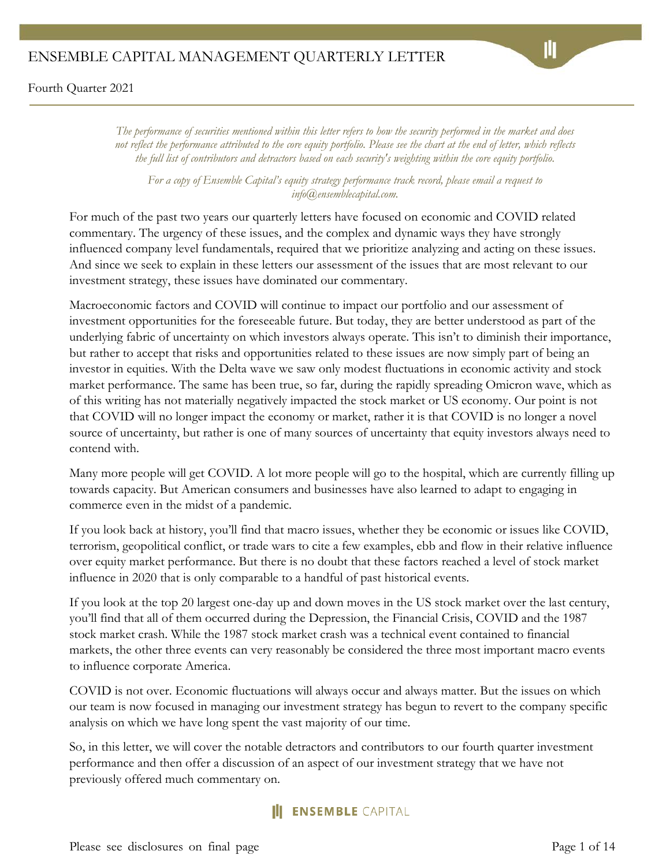Fourth Quarter 2021

*The performance of securities mentioned within this letter refers to how the security performed in the market and does not reflect the performance attributed to the core equity portfolio. Please see the chart at the end of letter, which reflects the full list of contributors and detractors based on each security's weighting within the core equity portfolio.*

*For a copy of Ensemble Capital's equity strategy performance track record, please email a request to info@ensemblecapital.com.*

For much of the past two years our quarterly letters have focused on economic and COVID related commentary. The urgency of these issues, and the complex and dynamic ways they have strongly influenced company level fundamentals, required that we prioritize analyzing and acting on these issues. And since we seek to explain in these letters our assessment of the issues that are most relevant to our investment strategy, these issues have dominated our commentary.

Macroeconomic factors and COVID will continue to impact our portfolio and our assessment of investment opportunities for the foreseeable future. But today, they are better understood as part of the underlying fabric of uncertainty on which investors always operate. This isn't to diminish their importance, but rather to accept that risks and opportunities related to these issues are now simply part of being an investor in equities. With the Delta wave we saw only modest fluctuations in economic activity and stock market performance. The same has been true, so far, during the rapidly spreading Omicron wave, which as of this writing has not materially negatively impacted the stock market or US economy. Our point is not that COVID will no longer impact the economy or market, rather it is that COVID is no longer a novel source of uncertainty, but rather is one of many sources of uncertainty that equity investors always need to contend with.

Many more people will get COVID. A lot more people will go to the hospital, which are currently filling up towards capacity. But American consumers and businesses have also learned to adapt to engaging in commerce even in the midst of a pandemic.

If you look back at history, you'll find that macro issues, whether they be economic or issues like COVID, terrorism, geopolitical conflict, or trade wars to cite a few examples, ebb and flow in their relative influence over equity market performance. But there is no doubt that these factors reached a level of stock market influence in 2020 that is only comparable to a handful of past historical events.

If you look at the top 20 largest one-day up and down moves in the US stock market over the last century, you'll find that all of them occurred during the Depression, the Financial Crisis, COVID and the 1987 stock market crash. While the 1987 stock market crash was a technical event contained to financial markets, the other three events can very reasonably be considered the three most important macro events to influence corporate America.

COVID is not over. Economic fluctuations will always occur and always matter. But the issues on which our team is now focused in managing our investment strategy has begun to revert to the company specific analysis on which we have long spent the vast majority of our time.

So, in this letter, we will cover the notable detractors and contributors to our fourth quarter investment performance and then offer a discussion of an aspect of our investment strategy that we have not previously offered much commentary on.

# **ENSEMBLE CAPITAL**

Please see disclosures on final page Page 1 of 14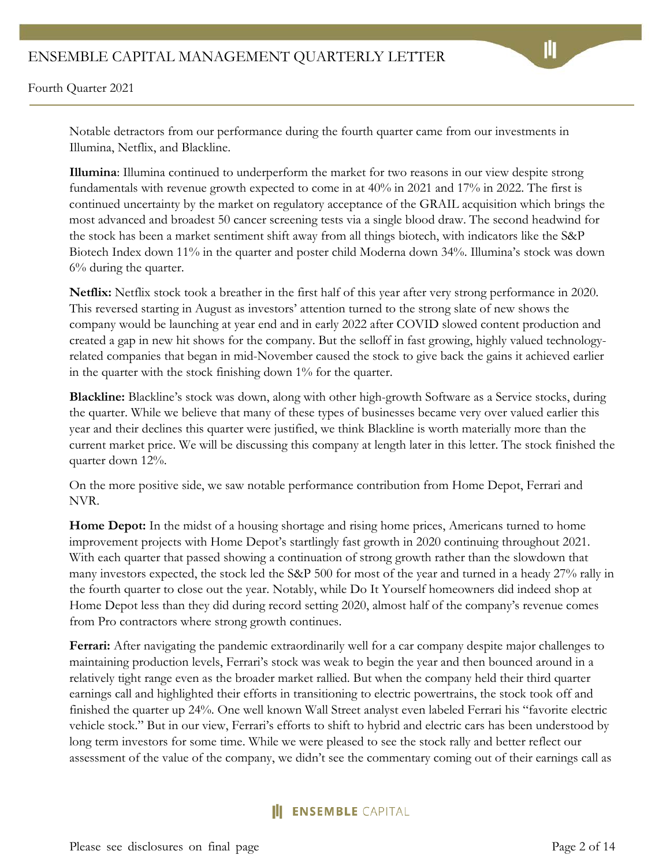Notable detractors from our performance during the fourth quarter came from our investments in Illumina, Netflix, and Blackline.

**Illumina**: Illumina continued to underperform the market for two reasons in our view despite strong fundamentals with revenue growth expected to come in at 40% in 2021 and 17% in 2022. The first is continued uncertainty by the market on regulatory acceptance of the GRAIL acquisition which brings the most advanced and broadest 50 cancer screening tests via a single blood draw. The second headwind for the stock has been a market sentiment shift away from all things biotech, with indicators like the S&P Biotech Index down 11% in the quarter and poster child Moderna down 34%. Illumina's stock was down 6% during the quarter.

**Netflix:** Netflix stock took a breather in the first half of this year after very strong performance in 2020. This reversed starting in August as investors' attention turned to the strong slate of new shows the company would be launching at year end and in early 2022 after COVID slowed content production and created a gap in new hit shows for the company. But the selloff in fast growing, highly valued technologyrelated companies that began in mid-November caused the stock to give back the gains it achieved earlier in the quarter with the stock finishing down 1% for the quarter.

**Blackline:** Blackline's stock was down, along with other high-growth Software as a Service stocks, during the quarter. While we believe that many of these types of businesses became very over valued earlier this year and their declines this quarter were justified, we think Blackline is worth materially more than the current market price. We will be discussing this company at length later in this letter. The stock finished the quarter down 12%.

On the more positive side, we saw notable performance contribution from Home Depot, Ferrari and NVR.

**Home Depot:** In the midst of a housing shortage and rising home prices, Americans turned to home improvement projects with Home Depot's startlingly fast growth in 2020 continuing throughout 2021. With each quarter that passed showing a continuation of strong growth rather than the slowdown that many investors expected, the stock led the S&P 500 for most of the year and turned in a heady 27% rally in the fourth quarter to close out the year. Notably, while Do It Yourself homeowners did indeed shop at Home Depot less than they did during record setting 2020, almost half of the company's revenue comes from Pro contractors where strong growth continues.

**Ferrari:** After navigating the pandemic extraordinarily well for a car company despite major challenges to maintaining production levels, Ferrari's stock was weak to begin the year and then bounced around in a relatively tight range even as the broader market rallied. But when the company held their third quarter earnings call and highlighted their efforts in transitioning to electric powertrains, the stock took off and finished the quarter up 24%. One well known Wall Street analyst even labeled Ferrari his "favorite electric vehicle stock." But in our view, Ferrari's efforts to shift to hybrid and electric cars has been understood by long term investors for some time. While we were pleased to see the stock rally and better reflect our assessment of the value of the company, we didn't see the commentary coming out of their earnings call as

## **ENSEMBLE CAPITAL**

Please see disclosures on final page Page 2 of 14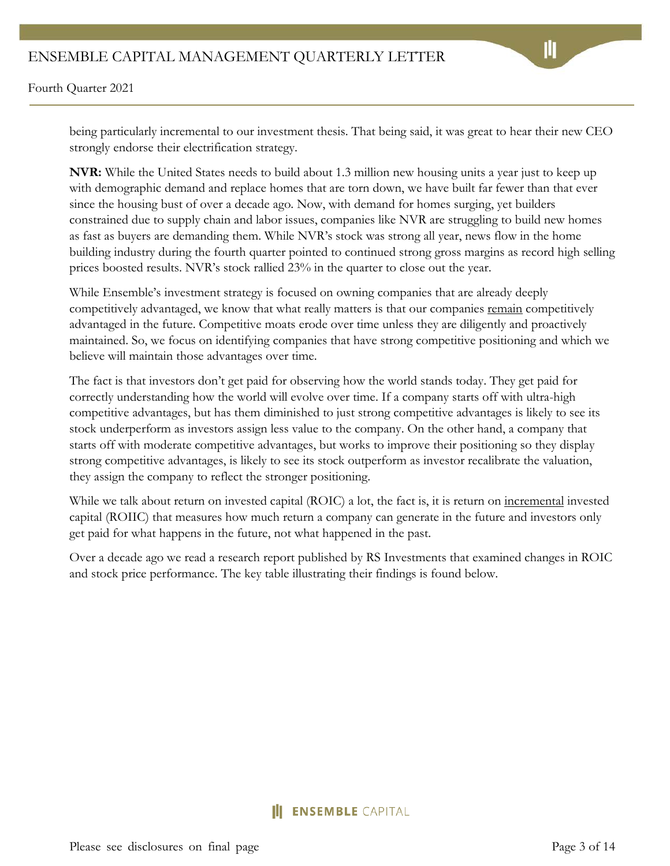Fourth Quarter 2021

being particularly incremental to our investment thesis. That being said, it was great to hear their new CEO strongly endorse their electrification strategy.

**NVR:** While the United States needs to build about 1.3 million new housing units a year just to keep up with demographic demand and replace homes that are torn down, we have built far fewer than that ever since the housing bust of over a decade ago. Now, with demand for homes surging, yet builders constrained due to supply chain and labor issues, companies like NVR are struggling to build new homes as fast as buyers are demanding them. While NVR's stock was strong all year, news flow in the home building industry during the fourth quarter pointed to continued strong gross margins as record high selling prices boosted results. NVR's stock rallied 23% in the quarter to close out the year.

While Ensemble's investment strategy is focused on owning companies that are already deeply competitively advantaged, we know that what really matters is that our companies remain competitively advantaged in the future. Competitive moats erode over time unless they are diligently and proactively maintained. So, we focus on identifying companies that have strong competitive positioning and which we believe will maintain those advantages over time.

The fact is that investors don't get paid for observing how the world stands today. They get paid for correctly understanding how the world will evolve over time. If a company starts off with ultra-high competitive advantages, but has them diminished to just strong competitive advantages is likely to see its stock underperform as investors assign less value to the company. On the other hand, a company that starts off with moderate competitive advantages, but works to improve their positioning so they display strong competitive advantages, is likely to see its stock outperform as investor recalibrate the valuation, they assign the company to reflect the stronger positioning.

While we talk about return on invested capital (ROIC) a lot, the fact is, it is return on <u>incremental</u> invested capital (ROIIC) that measures how much return a company can generate in the future and investors only get paid for what happens in the future, not what happened in the past.

Over a decade ago we read a research report published by RS Investments that examined changes in ROIC and stock price performance. The key table illustrating their findings is found below.

#### **ENSEMBLE CAPITAL**

Please see disclosures on final page Page 3 of 14

Ш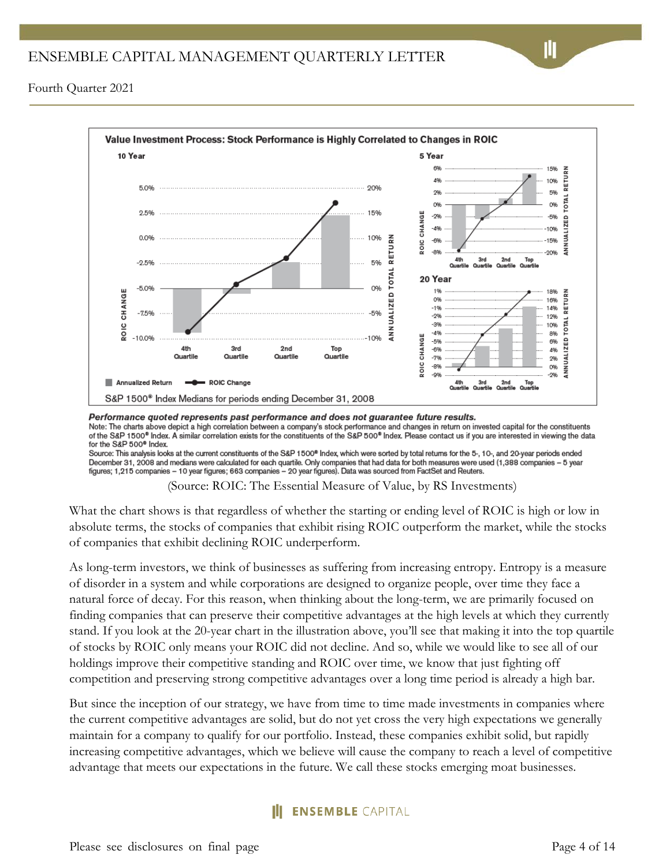

Performance quoted represents past performance and does not guarantee future results.

Note: The charts above depict a high correlation between a company's stock performance and changes in return on invested capital for the constituents of the S&P 1500<sup>®</sup> Index. A similar correlation exists for the constituents of the S&P 500<sup>®</sup> Index. Please contact us if you are interested in viewing the data for the S&P 500<sup>®</sup> Index.

Source: This analysis looks at the current constituents of the S&P 1500<sup>®</sup> Index, which were sorted by total returns for the 5-, 10-, and 20-year periods ended December 31, 2008 and medians were calculated for each quartile. Only companies that had data for both measures were used (1,388 companies - 5 year figures; 1,215 companies – 10 year figures; 663 companies – 20 year figures). Data was sourced from FactSet and Reuters.

(Source: ROIC: The Essential Measure of Value, by RS Investments)

What the chart shows is that regardless of whether the starting or ending level of ROIC is high or low in absolute terms, the stocks of companies that exhibit rising ROIC outperform the market, while the stocks of companies that exhibit declining ROIC underperform.

As long-term investors, we think of businesses as suffering from increasing entropy. Entropy is a measure of disorder in a system and while corporations are designed to organize people, over time they face a natural force of decay. For this reason, when thinking about the long-term, we are primarily focused on finding companies that can preserve their competitive advantages at the high levels at which they currently stand. If you look at the 20-year chart in the illustration above, you'll see that making it into the top quartile of stocks by ROIC only means your ROIC did not decline. And so, while we would like to see all of our holdings improve their competitive standing and ROIC over time, we know that just fighting off competition and preserving strong competitive advantages over a long time period is already a high bar.

But since the inception of our strategy, we have from time to time made investments in companies where the current competitive advantages are solid, but do not yet cross the very high expectations we generally maintain for a company to qualify for our portfolio. Instead, these companies exhibit solid, but rapidly increasing competitive advantages, which we believe will cause the company to reach a level of competitive advantage that meets our expectations in the future. We call these stocks emerging moat businesses.

## **ENSEMBLE CAPITAL**

Please see disclosures on final page Page 4 of 14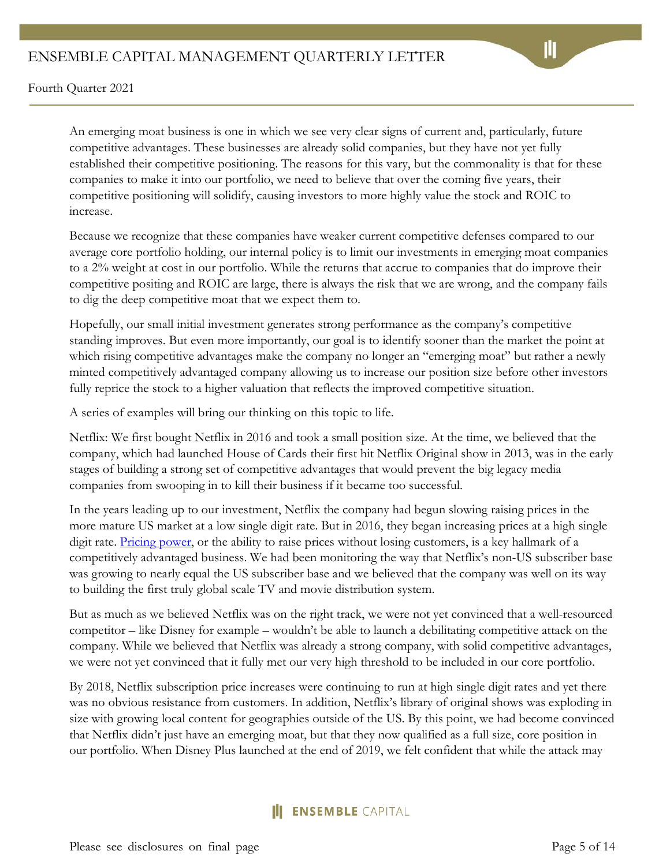An emerging moat business is one in which we see very clear signs of current and, particularly, future competitive advantages. These businesses are already solid companies, but they have not yet fully established their competitive positioning. The reasons for this vary, but the commonality is that for these companies to make it into our portfolio, we need to believe that over the coming five years, their competitive positioning will solidify, causing investors to more highly value the stock and ROIC to increase.

Because we recognize that these companies have weaker current competitive defenses compared to our average core portfolio holding, our internal policy is to limit our investments in emerging moat companies to a 2% weight at cost in our portfolio. While the returns that accrue to companies that do improve their competitive positing and ROIC are large, there is always the risk that we are wrong, and the company fails to dig the deep competitive moat that we expect them to.

Hopefully, our small initial investment generates strong performance as the company's competitive standing improves. But even more importantly, our goal is to identify sooner than the market the point at which rising competitive advantages make the company no longer an "emerging moat" but rather a newly minted competitively advantaged company allowing us to increase our position size before other investors fully reprice the stock to a higher valuation that reflects the improved competitive situation.

A series of examples will bring our thinking on this topic to life.

Netflix: We first bought Netflix in 2016 and took a small position size. At the time, we believed that the company, which had launched House of Cards their first hit Netflix Original show in 2013, was in the early stages of building a strong set of competitive advantages that would prevent the big legacy media companies from swooping in to kill their business if it became too successful.

In the years leading up to our investment, Netflix the company had begun slowing raising prices in the more mature US market at a low single digit rate. But in 2016, they began increasing prices at a high single digit rate. [Pricing power,](https://intrinsicinvesting.com/2018/10/18/netflixs-pricing-power/) or the ability to raise prices without losing customers, is a key hallmark of a competitively advantaged business. We had been monitoring the way that Netflix's non-US subscriber base was growing to nearly equal the US subscriber base and we believed that the company was well on its way to building the first truly global scale TV and movie distribution system.

But as much as we believed Netflix was on the right track, we were not yet convinced that a well-resourced competitor – like Disney for example – wouldn't be able to launch a debilitating competitive attack on the company. While we believed that Netflix was already a strong company, with solid competitive advantages, we were not yet convinced that it fully met our very high threshold to be included in our core portfolio.

By 2018, Netflix subscription price increases were continuing to run at high single digit rates and yet there was no obvious resistance from customers. In addition, Netflix's library of original shows was exploding in size with growing local content for geographies outside of the US. By this point, we had become convinced that Netflix didn't just have an emerging moat, but that they now qualified as a full size, core position in our portfolio. When Disney Plus launched at the end of 2019, we felt confident that while the attack may

## **ENSEMBLE CAPITAL**

Please see disclosures on final page Page 5 of 14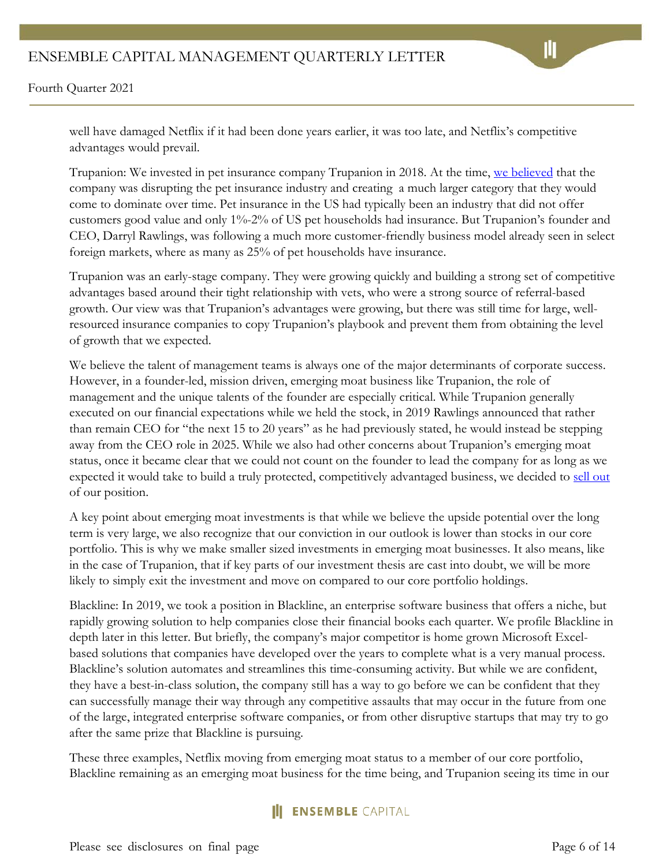Fourth Quarter 2021

well have damaged Netflix if it had been done years earlier, it was too late, and Netflix's competitive advantages would prevail.

Trupanion: We invested in pet insurance company Trupanion in 2018. At the time, [we believed](https://ensemblefund.com/quarterly-investment-market-update-third-quarter-2018) that the company was disrupting the pet insurance industry and creating a much larger category that they would come to dominate over time. Pet insurance in the US had typically been an industry that did not offer customers good value and only 1%-2% of US pet households had insurance. But Trupanion's founder and CEO, Darryl Rawlings, was following a much more customer-friendly business model already seen in select foreign markets, where as many as 25% of pet households have insurance.

Trupanion was an early-stage company. They were growing quickly and building a strong set of competitive advantages based around their tight relationship with vets, who were a strong source of referral-based growth. Our view was that Trupanion's advantages were growing, but there was still time for large, wellresourced insurance companies to copy Trupanion's playbook and prevent them from obtaining the level of growth that we expected.

We believe the talent of management teams is always one of the major determinants of corporate success. However, in a founder-led, mission driven, emerging moat business like Trupanion, the role of management and the unique talents of the founder are especially critical. While Trupanion generally executed on our financial expectations while we held the stock, in 2019 Rawlings announced that rather than remain CEO for "the next 15 to 20 years" as he had previously stated, he would instead be stepping away from the CEO role in 2025. While we also had other concerns about Trupanion's emerging moat status, once it became clear that we could not count on the founder to lead the company for as long as we expected it would take to build a truly protected, competitively advantaged business, we decided to [sell out](https://intrinsicinvesting.com/2019/08/07/why-we-sold-trupanion/) of our position.

A key point about emerging moat investments is that while we believe the upside potential over the long term is very large, we also recognize that our conviction in our outlook is lower than stocks in our core portfolio. This is why we make smaller sized investments in emerging moat businesses. It also means, like in the case of Trupanion, that if key parts of our investment thesis are cast into doubt, we will be more likely to simply exit the investment and move on compared to our core portfolio holdings.

Blackline: In 2019, we took a position in Blackline, an enterprise software business that offers a niche, but rapidly growing solution to help companies close their financial books each quarter. We profile Blackline in depth later in this letter. But briefly, the company's major competitor is home grown Microsoft Excelbased solutions that companies have developed over the years to complete what is a very manual process. Blackline's solution automates and streamlines this time-consuming activity. But while we are confident, they have a best-in-class solution, the company still has a way to go before we can be confident that they can successfully manage their way through any competitive assaults that may occur in the future from one of the large, integrated enterprise software companies, or from other disruptive startups that may try to go after the same prize that Blackline is pursuing.

These three examples, Netflix moving from emerging moat status to a member of our core portfolio, Blackline remaining as an emerging moat business for the time being, and Trupanion seeing its time in our

# **ENSEMBLE** CAPITAL

Please see disclosures on final page Page 6 of 14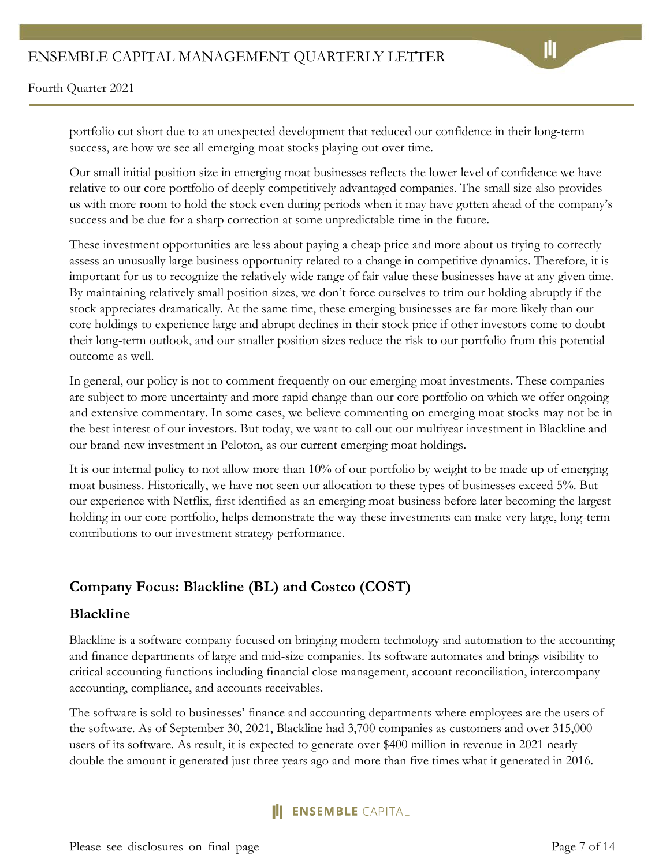portfolio cut short due to an unexpected development that reduced our confidence in their long-term success, are how we see all emerging moat stocks playing out over time.

Our small initial position size in emerging moat businesses reflects the lower level of confidence we have relative to our core portfolio of deeply competitively advantaged companies. The small size also provides us with more room to hold the stock even during periods when it may have gotten ahead of the company's success and be due for a sharp correction at some unpredictable time in the future.

These investment opportunities are less about paying a cheap price and more about us trying to correctly assess an unusually large business opportunity related to a change in competitive dynamics. Therefore, it is important for us to recognize the relatively wide range of fair value these businesses have at any given time. By maintaining relatively small position sizes, we don't force ourselves to trim our holding abruptly if the stock appreciates dramatically. At the same time, these emerging businesses are far more likely than our core holdings to experience large and abrupt declines in their stock price if other investors come to doubt their long-term outlook, and our smaller position sizes reduce the risk to our portfolio from this potential outcome as well.

In general, our policy is not to comment frequently on our emerging moat investments. These companies are subject to more uncertainty and more rapid change than our core portfolio on which we offer ongoing and extensive commentary. In some cases, we believe commenting on emerging moat stocks may not be in the best interest of our investors. But today, we want to call out our multiyear investment in Blackline and our brand-new investment in Peloton, as our current emerging moat holdings.

It is our internal policy to not allow more than 10% of our portfolio by weight to be made up of emerging moat business. Historically, we have not seen our allocation to these types of businesses exceed 5%. But our experience with Netflix, first identified as an emerging moat business before later becoming the largest holding in our core portfolio, helps demonstrate the way these investments can make very large, long-term contributions to our investment strategy performance.

## **Company Focus: Blackline (BL) and Costco (COST)**

#### **Blackline**

Blackline is a software company focused on bringing modern technology and automation to the accounting and finance departments of large and mid-size companies. Its software automates and brings visibility to critical accounting functions including financial close management, account reconciliation, intercompany accounting, compliance, and accounts receivables.

The software is sold to businesses' finance and accounting departments where employees are the users of the software. As of September 30, 2021, Blackline had 3,700 companies as customers and over 315,000 users of its software. As result, it is expected to generate over \$400 million in revenue in 2021 nearly double the amount it generated just three years ago and more than five times what it generated in 2016.

## **ENSEMBLE CAPITAL**

Please see disclosures on final page Page 7 of 14

Ш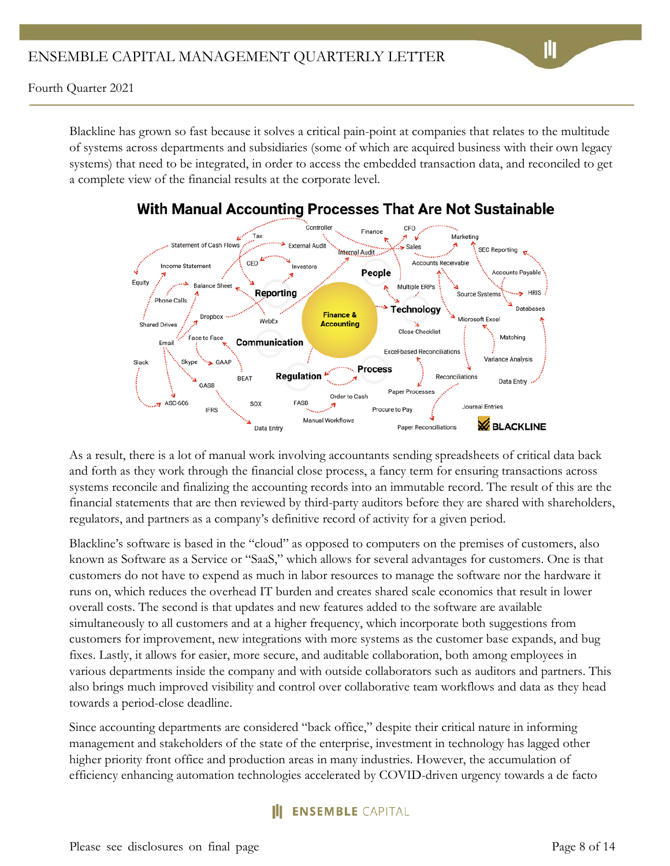Blackline has grown so fast because it solves a critical pain-point at companies that relates to the multitude of systems across departments and subsidiaries (some of which are acquired business with their own legacy systems) that need to be integrated, in order to access the embedded transaction data, and reconciled to get a complete view of the financial results at the corporate level.



# With Manual Accounting Processes That Are Not Sustainable

As a result, there is a lot of manual work involving accountants sending spreadsheets of critical data back and forth as they work through the financial close process, a fancy term for ensuring transactions across systems reconcile and finalizing the accounting records into an immutable record. The result of this are the financial statements that are then reviewed by third-party auditors before they are shared with shareholders, regulators, and partners as a company's definitive record of activity for a given period.

Blackline's software is based in the "cloud" as opposed to computers on the premises of customers, also known as Software as a Service or "SaaS," which allows for several advantages for customers. One is that customers do not have to expend as much in labor resources to manage the software nor the hardware it runs on, which reduces the overhead IT burden and creates shared scale economics that result in lower overall costs. The second is that updates and new features added to the software are available simultaneously to all customers and at a higher frequency, which incorporate both suggestions from customers for improvement, new integrations with more systems as the customer base expands, and bug fixes. Lastly, it allows for easier, more secure, and auditable collaboration, both among employees in various departments inside the company and with outside collaborators such as auditors and partners. This also brings much improved visibility and control over collaborative team workflows and data as they head towards a period-close deadline.

Since accounting departments are considered "back office," despite their critical nature in informing management and stakeholders of the state of the enterprise, investment in technology has lagged other higher priority front office and production areas in many industries. However, the accumulation of efficiency enhancing automation technologies accelerated by COVID-driven urgency towards a de facto

# **ENSEMBLE CAPITAL**

Please see disclosures on final page Page 8 of 14

山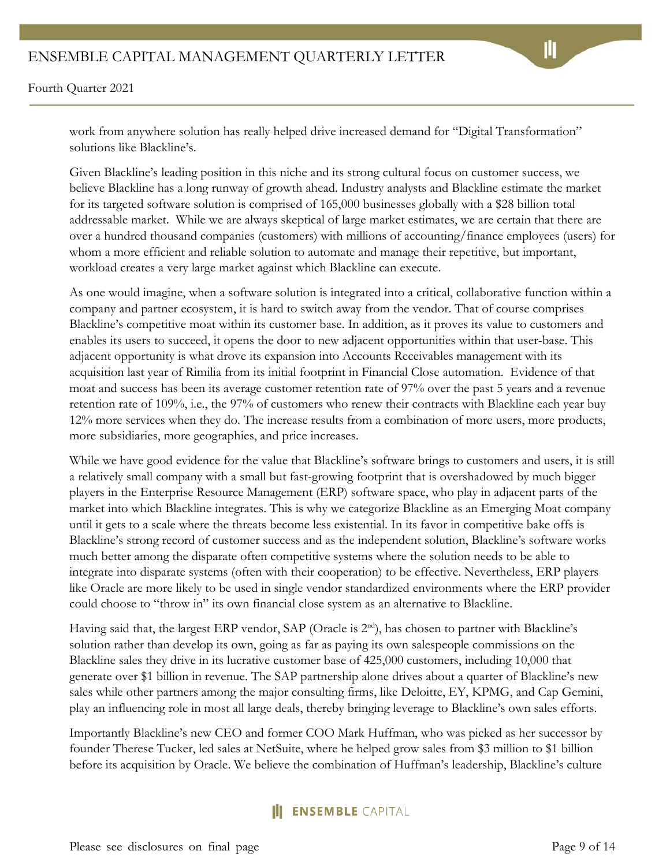Fourth Quarter 2021

work from anywhere solution has really helped drive increased demand for "Digital Transformation" solutions like Blackline's.

Given Blackline's leading position in this niche and its strong cultural focus on customer success, we believe Blackline has a long runway of growth ahead. Industry analysts and Blackline estimate the market for its targeted software solution is comprised of 165,000 businesses globally with a \$28 billion total addressable market. While we are always skeptical of large market estimates, we are certain that there are over a hundred thousand companies (customers) with millions of accounting/finance employees (users) for whom a more efficient and reliable solution to automate and manage their repetitive, but important, workload creates a very large market against which Blackline can execute.

As one would imagine, when a software solution is integrated into a critical, collaborative function within a company and partner ecosystem, it is hard to switch away from the vendor. That of course comprises Blackline's competitive moat within its customer base. In addition, as it proves its value to customers and enables its users to succeed, it opens the door to new adjacent opportunities within that user-base. This adjacent opportunity is what drove its expansion into Accounts Receivables management with its acquisition last year of Rimilia from its initial footprint in Financial Close automation. Evidence of that moat and success has been its average customer retention rate of 97% over the past 5 years and a revenue retention rate of 109%, i.e., the 97% of customers who renew their contracts with Blackline each year buy 12% more services when they do. The increase results from a combination of more users, more products, more subsidiaries, more geographies, and price increases.

While we have good evidence for the value that Blackline's software brings to customers and users, it is still a relatively small company with a small but fast-growing footprint that is overshadowed by much bigger players in the Enterprise Resource Management (ERP) software space, who play in adjacent parts of the market into which Blackline integrates. This is why we categorize Blackline as an Emerging Moat company until it gets to a scale where the threats become less existential. In its favor in competitive bake offs is Blackline's strong record of customer success and as the independent solution, Blackline's software works much better among the disparate often competitive systems where the solution needs to be able to integrate into disparate systems (often with their cooperation) to be effective. Nevertheless, ERP players like Oracle are more likely to be used in single vendor standardized environments where the ERP provider could choose to "throw in" its own financial close system as an alternative to Blackline.

Having said that, the largest ERP vendor, SAP (Oracle is  $2<sup>nd</sup>$ ), has chosen to partner with Blackline's solution rather than develop its own, going as far as paying its own salespeople commissions on the Blackline sales they drive in its lucrative customer base of 425,000 customers, including 10,000 that generate over \$1 billion in revenue. The SAP partnership alone drives about a quarter of Blackline's new sales while other partners among the major consulting firms, like Deloitte, EY, KPMG, and Cap Gemini, play an influencing role in most all large deals, thereby bringing leverage to Blackline's own sales efforts.

Importantly Blackline's new CEO and former COO Mark Huffman, who was picked as her successor by founder Therese Tucker, led sales at NetSuite, where he helped grow sales from \$3 million to \$1 billion before its acquisition by Oracle. We believe the combination of Huffman's leadership, Blackline's culture

# **ENSEMBLE CAPITAL**

Please see disclosures on final page Page 9 of 14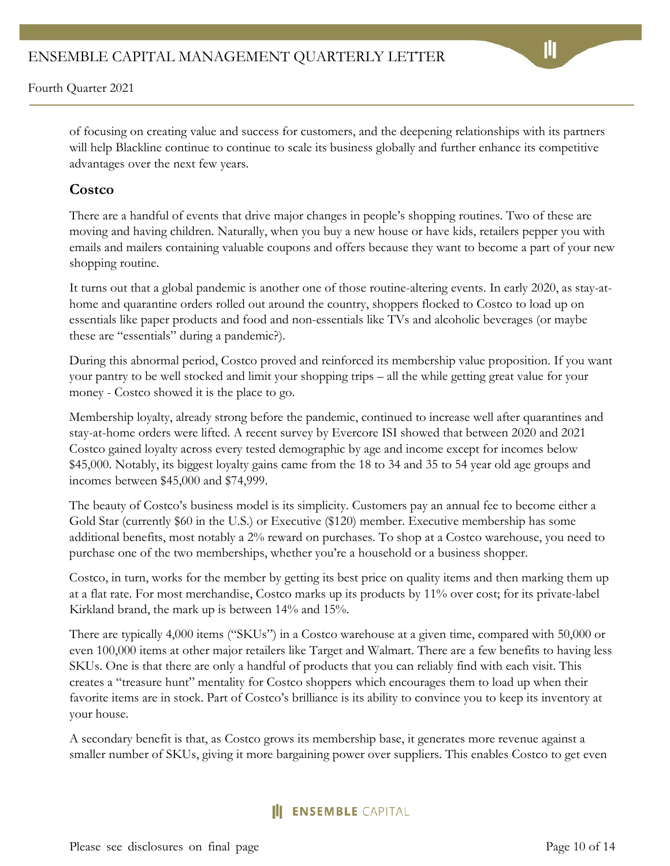of focusing on creating value and success for customers, and the deepening relationships with its partners will help Blackline continue to continue to scale its business globally and further enhance its competitive advantages over the next few years.

#### **Costco**

There are a handful of events that drive major changes in people's shopping routines. Two of these are moving and having children. Naturally, when you buy a new house or have kids, retailers pepper you with emails and mailers containing valuable coupons and offers because they want to become a part of your new shopping routine.

It turns out that a global pandemic is another one of those routine-altering events. In early 2020, as stay-athome and quarantine orders rolled out around the country, shoppers flocked to Costco to load up on essentials like paper products and food and non-essentials like TVs and alcoholic beverages (or maybe these are "essentials" during a pandemic?).

During this abnormal period, Costco proved and reinforced its membership value proposition. If you want your pantry to be well stocked and limit your shopping trips – all the while getting great value for your money - Costco showed it is the place to go.

Membership loyalty, already strong before the pandemic, continued to increase well after quarantines and stay-at-home orders were lifted. A recent survey by Evercore ISI showed that between 2020 and 2021 Costco gained loyalty across every tested demographic by age and income except for incomes below \$45,000. Notably, its biggest loyalty gains came from the 18 to 34 and 35 to 54 year old age groups and incomes between \$45,000 and \$74,999.

The beauty of Costco's business model is its simplicity. Customers pay an annual fee to become either a Gold Star (currently \$60 in the U.S.) or Executive (\$120) member. Executive membership has some additional benefits, most notably a 2% reward on purchases. To shop at a Costco warehouse, you need to purchase one of the two memberships, whether you're a household or a business shopper.

Costco, in turn, works for the member by getting its best price on quality items and then marking them up at a flat rate. For most merchandise, Costco marks up its products by 11% over cost; for its private-label Kirkland brand, the mark up is between 14% and 15%.

There are typically 4,000 items ("SKUs") in a Costco warehouse at a given time, compared with 50,000 or even 100,000 items at other major retailers like Target and Walmart. There are a few benefits to having less SKUs. One is that there are only a handful of products that you can reliably find with each visit. This creates a "treasure hunt" mentality for Costco shoppers which encourages them to load up when their favorite items are in stock. Part of Costco's brilliance is its ability to convince you to keep its inventory at your house.

A secondary benefit is that, as Costco grows its membership base, it generates more revenue against a smaller number of SKUs, giving it more bargaining power over suppliers. This enables Costco to get even

## **ENSEMBLE CAPITAL**

Please see disclosures on final page Page 10 of 14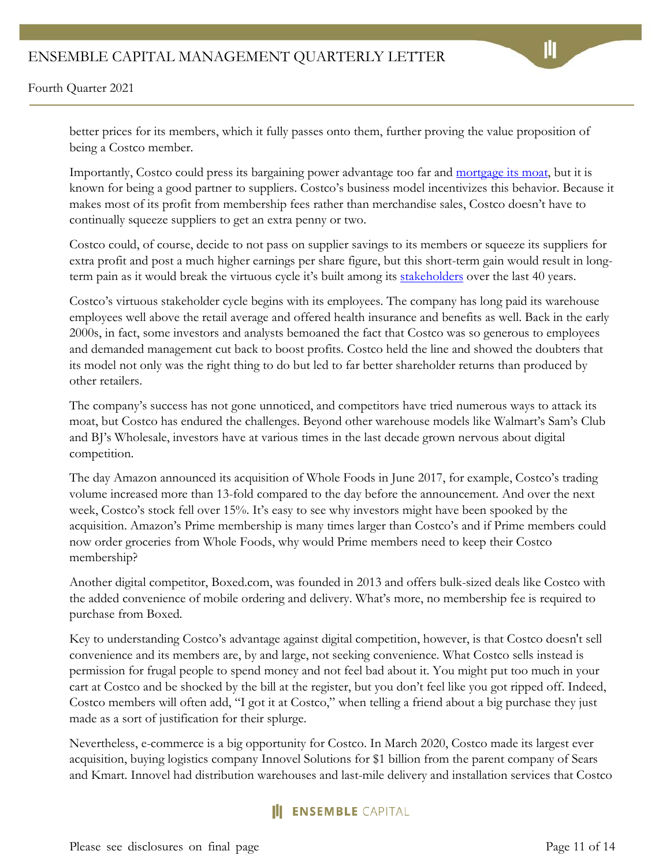better prices for its members, which it fully passes onto them, further proving the value proposition of being a Costco member.

Importantly, Costco could press its bargaining power advantage too far and [mortgage its moat,](https://intrinsicinvesting.com/2017/11/29/pricing-power-delighting-customers-vs-mortgaging-moat/) but it is known for being a good partner to suppliers. Costco's business model incentivizes this behavior. Because it makes most of its profit from membership fees rather than merchandise sales, Costco doesn't have to continually squeeze suppliers to get an extra penny or two.

Costco could, of course, decide to not pass on supplier savings to its members or squeeze its suppliers for extra profit and post a much higher earnings per share figure, but this short-term gain would result in longterm pain as it would break the virtuous cycle it's built among its [stakeholders](https://intrinsicinvesting.com/2021/07/22/ensemble-capitals-approach-to-stakeholder-analysis/) over the last 40 years.

Costco's virtuous stakeholder cycle begins with its employees. The company has long paid its warehouse employees well above the retail average and offered health insurance and benefits as well. Back in the early 2000s, in fact, some investors and analysts bemoaned the fact that Costco was so generous to employees and demanded management cut back to boost profits. Costco held the line and showed the doubters that its model not only was the right thing to do but led to far better shareholder returns than produced by other retailers.

The company's success has not gone unnoticed, and competitors have tried numerous ways to attack its moat, but Costco has endured the challenges. Beyond other warehouse models like Walmart's Sam's Club and BJ's Wholesale, investors have at various times in the last decade grown nervous about digital competition.

The day Amazon announced its acquisition of Whole Foods in June 2017, for example, Costco's trading volume increased more than 13-fold compared to the day before the announcement. And over the next week, Costco's stock fell over 15%. It's easy to see why investors might have been spooked by the acquisition. Amazon's Prime membership is many times larger than Costco's and if Prime members could now order groceries from Whole Foods, why would Prime members need to keep their Costco membership?

Another digital competitor, Boxed.com, was founded in 2013 and offers bulk-sized deals like Costco with the added convenience of mobile ordering and delivery. What's more, no membership fee is required to purchase from Boxed.

Key to understanding Costco's advantage against digital competition, however, is that Costco doesn't sell convenience and its members are, by and large, not seeking convenience. What Costco sells instead is permission for frugal people to spend money and not feel bad about it. You might put too much in your cart at Costco and be shocked by the bill at the register, but you don't feel like you got ripped off. Indeed, Costco members will often add, "I got it at Costco," when telling a friend about a big purchase they just made as a sort of justification for their splurge.

Nevertheless, e-commerce is a big opportunity for Costco. In March 2020, Costco made its largest ever acquisition, buying logistics company Innovel Solutions for \$1 billion from the parent company of Sears and Kmart. Innovel had distribution warehouses and last-mile delivery and installation services that Costco

## **III ENSEMBLE** CAPITAL

Please see disclosures on final page Page 11 of 14

Ш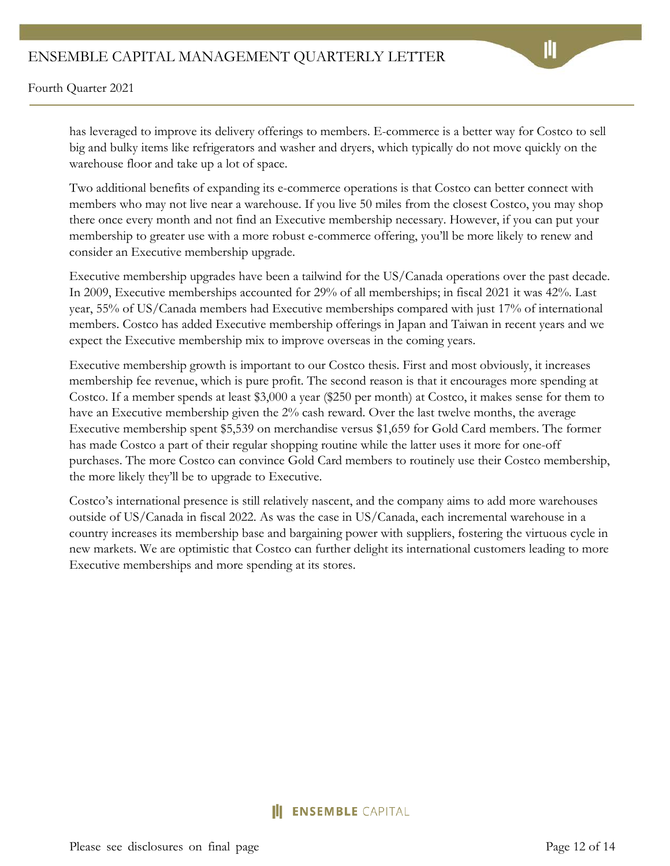Fourth Quarter 2021

has leveraged to improve its delivery offerings to members. E-commerce is a better way for Costco to sell big and bulky items like refrigerators and washer and dryers, which typically do not move quickly on the warehouse floor and take up a lot of space.

Two additional benefits of expanding its e-commerce operations is that Costco can better connect with members who may not live near a warehouse. If you live 50 miles from the closest Costco, you may shop there once every month and not find an Executive membership necessary. However, if you can put your membership to greater use with a more robust e-commerce offering, you'll be more likely to renew and consider an Executive membership upgrade.

Executive membership upgrades have been a tailwind for the US/Canada operations over the past decade. In 2009, Executive memberships accounted for 29% of all memberships; in fiscal 2021 it was 42%. Last year, 55% of US/Canada members had Executive memberships compared with just 17% of international members. Costco has added Executive membership offerings in Japan and Taiwan in recent years and we expect the Executive membership mix to improve overseas in the coming years.

Executive membership growth is important to our Costco thesis. First and most obviously, it increases membership fee revenue, which is pure profit. The second reason is that it encourages more spending at Costco. If a member spends at least \$3,000 a year (\$250 per month) at Costco, it makes sense for them to have an Executive membership given the 2% cash reward. Over the last twelve months, the average Executive membership spent \$5,539 on merchandise versus \$1,659 for Gold Card members. The former has made Costco a part of their regular shopping routine while the latter uses it more for one-off purchases. The more Costco can convince Gold Card members to routinely use their Costco membership, the more likely they'll be to upgrade to Executive.

Costco's international presence is still relatively nascent, and the company aims to add more warehouses outside of US/Canada in fiscal 2022. As was the case in US/Canada, each incremental warehouse in a country increases its membership base and bargaining power with suppliers, fostering the virtuous cycle in new markets. We are optimistic that Costco can further delight its international customers leading to more Executive memberships and more spending at its stores.

## **ENSEMBLE CAPITAL**

Please see disclosures on final page Page 12 of 14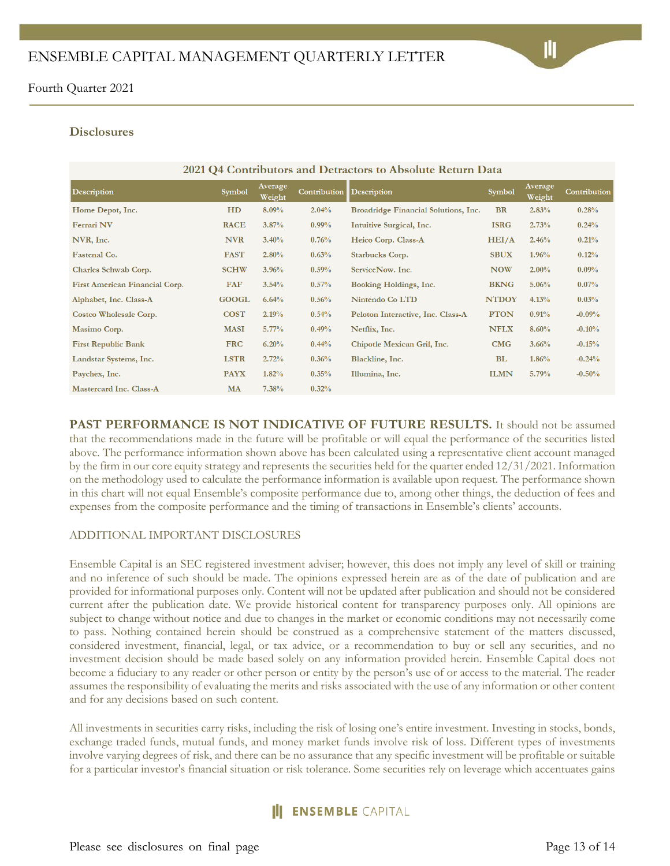#### **Disclosures**

| 2021 Q4 Contributors and Detractors to Absolute Return Data |              |                   |              |                                      |               |                   |              |
|-------------------------------------------------------------|--------------|-------------------|--------------|--------------------------------------|---------------|-------------------|--------------|
| <b>Description</b>                                          | Symbol       | Average<br>Weight | Contribution | <b>Description</b>                   | <b>Symbol</b> | Average<br>Weight | Contribution |
| Home Depot, Inc.                                            | HD           | 8.09%             | 2.04%        | Broadridge Financial Solutions, Inc. | <b>BR</b>     | 2.83%             | 0.28%        |
| <b>Ferrari NV</b>                                           | <b>RACE</b>  | $3.87\%$          | $0.99\%$     | Intuitive Surgical, Inc.             | <b>ISRG</b>   | 2.73%             | 0.24%        |
| NVR, Inc.                                                   | <b>NVR</b>   | 3.40%             | 0.76%        | Heico Corp. Class-A                  | HEI/A         | 2.46%             | 0.21%        |
| <b>Fastenal Co.</b>                                         | <b>FAST</b>  | 2.80%             | 0.63%        | <b>Starbucks Corp.</b>               | <b>SBUX</b>   | 1.96%             | 0.12%        |
| Charles Schwab Corp.                                        | <b>SCHW</b>  | 3.96%             | 0.59%        | ServiceNow. Inc.                     | <b>NOW</b>    | $2.00\%$          | 0.09%        |
| First American Financial Corp.                              | <b>FAF</b>   | 3.54%             | 0.57%        | Booking Holdings, Inc.               | <b>BKNG</b>   | 5.06%             | $0.07\%$     |
| Alphabet, Inc. Class-A                                      | <b>GOOGL</b> | 6.64%             | 0.56%        | Nintendo Co LTD                      | <b>NTDOY</b>  | 4.13%             | 0.03%        |
| Costco Wholesale Corp.                                      | <b>COST</b>  | 2.19%             | 0.54%        | Peloton Interactive, Inc. Class-A    | <b>PTON</b>   | 0.91%             | $-0.09%$     |
| Masimo Corp.                                                | <b>MASI</b>  | $5.77\%$          | 0.49%        | Netflix, Inc.                        | <b>NFLX</b>   | $8.60\%$          | $-0.10%$     |
| <b>First Republic Bank</b>                                  | <b>FRC</b>   | 6.20%             | 0.44%        | Chipotle Mexican Gril, Inc.          | CMG           | 3.66%             | $-0.15%$     |
| Landstar Systems, Inc.                                      | <b>LSTR</b>  | 2.72%             | 0.36%        | Blackline, Inc.                      | <b>BL</b>     | 1.86%             | $-0.24%$     |
| Paychex, Inc.                                               | <b>PAYX</b>  | 1.82%             | 0.35%        | Illumina, Inc.                       | <b>ILMN</b>   | 5.79%             | $-0.50%$     |
| Mastercard Inc. Class-A                                     | <b>MA</b>    | 7.38%             | 0.32%        |                                      |               |                   |              |

**PAST PERFORMANCE IS NOT INDICATIVE OF FUTURE RESULTS.** It should not be assumed that the recommendations made in the future will be profitable or will equal the performance of the securities listed above. The performance information shown above has been calculated using a representative client account managed by the firm in our core equity strategy and represents the securities held for the quarter ended 12/31/2021. Information on the methodology used to calculate the performance information is available upon request. The performance shown in this chart will not equal Ensemble's composite performance due to, among other things, the deduction of fees and expenses from the composite performance and the timing of transactions in Ensemble's clients' accounts.

#### ADDITIONAL IMPORTANT DISCLOSURES

Ensemble Capital is an SEC registered investment adviser; however, this does not imply any level of skill or training and no inference of such should be made. The opinions expressed herein are as of the date of publication and are provided for informational purposes only. Content will not be updated after publication and should not be considered current after the publication date. We provide historical content for transparency purposes only. All opinions are subject to change without notice and due to changes in the market or economic conditions may not necessarily come to pass. Nothing contained herein should be construed as a comprehensive statement of the matters discussed, considered investment, financial, legal, or tax advice, or a recommendation to buy or sell any securities, and no investment decision should be made based solely on any information provided herein. Ensemble Capital does not become a fiduciary to any reader or other person or entity by the person's use of or access to the material. The reader assumes the responsibility of evaluating the merits and risks associated with the use of any information or other content and for any decisions based on such content.

All investments in securities carry risks, including the risk of losing one's entire investment. Investing in stocks, bonds, exchange traded funds, mutual funds, and money market funds involve risk of loss. Different types of investments involve varying degrees of risk, and there can be no assurance that any specific investment will be profitable or suitable for a particular investor's financial situation or risk tolerance. Some securities rely on leverage which accentuates gains

## **ENSEMBLE CAPITAL**

Please see disclosures on final page Page 13 of 14